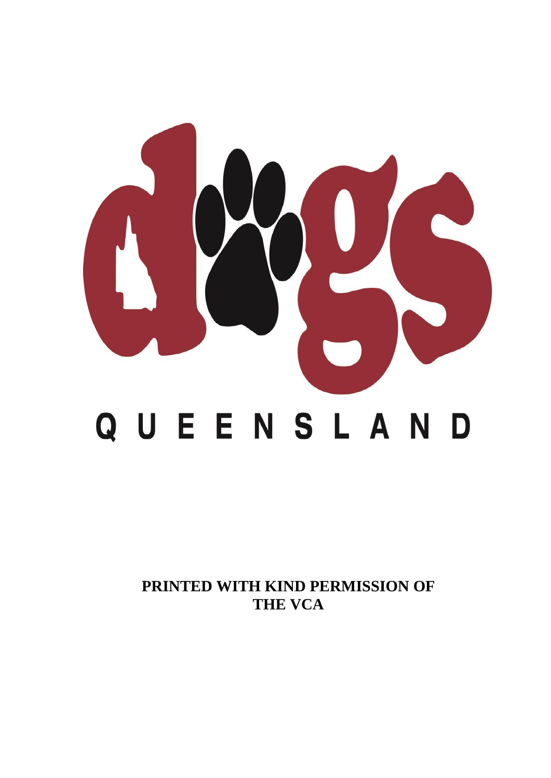

**PRINTED WITH KIND PERMISSION OF THE VCA**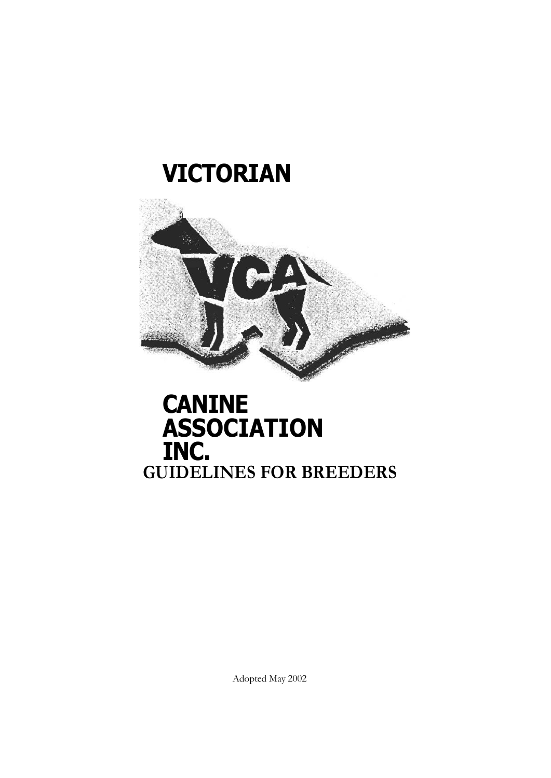# **VICTORIAN**



## **CANINE ASSOCIATION INC. GUIDELINES FOR BREEDERS**

Adopted May 2002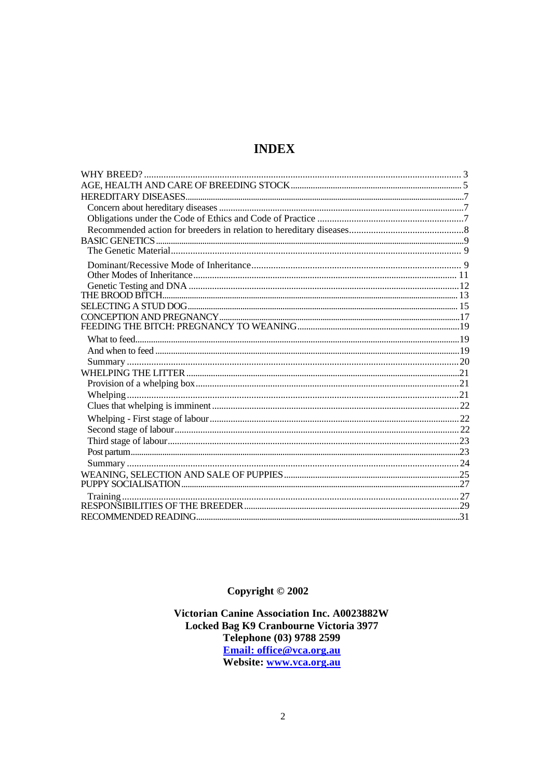## **INDEX**

Copyright  $@$  2002

Victorian Canine Association Inc. A0023882W Locked Bag K9 Cranbourne Victoria 3977 Telephone (03) 9788 2599 Email: office@vca.org.au Website: www.vca.org.au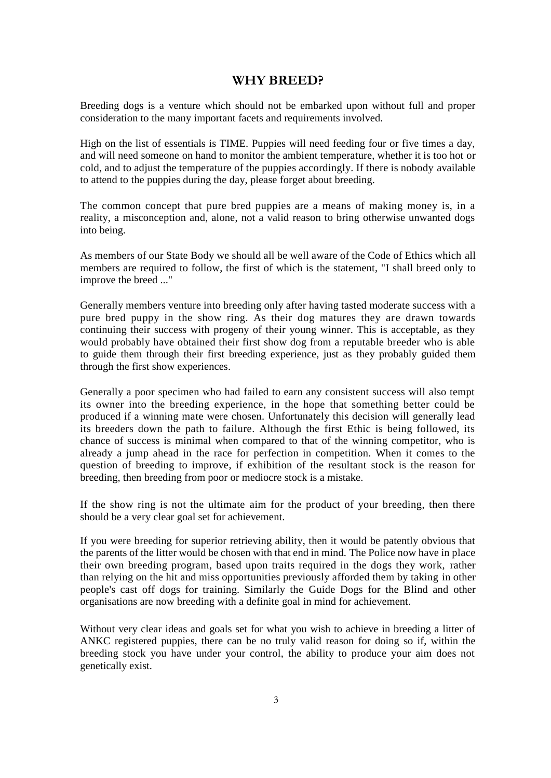## **WHY BREED?**

Breeding dogs is a venture which should not be embarked upon without full and proper consideration to the many important facets and requirements involved.

High on the list of essentials is TIME. Puppies will need feeding four or five times a day, and will need someone on hand to monitor the ambient temperature, whether it is too hot or cold, and to adjust the temperature of the puppies accordingly. If there is nobody available to attend to the puppies during the day, please forget about breeding.

The common concept that pure bred puppies are a means of making money is, in a reality, a misconception and, alone, not a valid reason to bring otherwise unwanted dogs into being.

As members of our State Body we should all be well aware of the Code of Ethics which all members are required to follow, the first of which is the statement, "I shall breed only to improve the breed ..."

Generally members venture into breeding only after having tasted moderate success with a pure bred puppy in the show ring. As their dog matures they are drawn towards continuing their success with progeny of their young winner. This is acceptable, as they would probably have obtained their first show dog from a reputable breeder who is able to guide them through their first breeding experience, just as they probably guided them through the first show experiences.

Generally a poor specimen who had failed to earn any consistent success will also tempt its owner into the breeding experience, in the hope that something better could be produced if a winning mate were chosen. Unfortunately this decision will generally lead its breeders down the path to failure. Although the first Ethic is being followed, its chance of success is minimal when compared to that of the winning competitor, who is already a jump ahead in the race for perfection in competition. When it comes to the question of breeding to improve, if exhibition of the resultant stock is the reason for breeding, then breeding from poor or mediocre stock is a mistake.

If the show ring is not the ultimate aim for the product of your breeding, then there should be a very clear goal set for achievement.

If you were breeding for superior retrieving ability, then it would be patently obvious that the parents of the litter would be chosen with that end in mind. The Police now have in place their own breeding program, based upon traits required in the dogs they work, rather than relying on the hit and miss opportunities previously afforded them by taking in other people's cast off dogs for training. Similarly the Guide Dogs for the Blind and other organisations are now breeding with a definite goal in mind for achievement.

Without very clear ideas and goals set for what you wish to achieve in breeding a litter of ANKC registered puppies, there can be no truly valid reason for doing so if, within the breeding stock you have under your control, the ability to produce your aim does not genetically exist.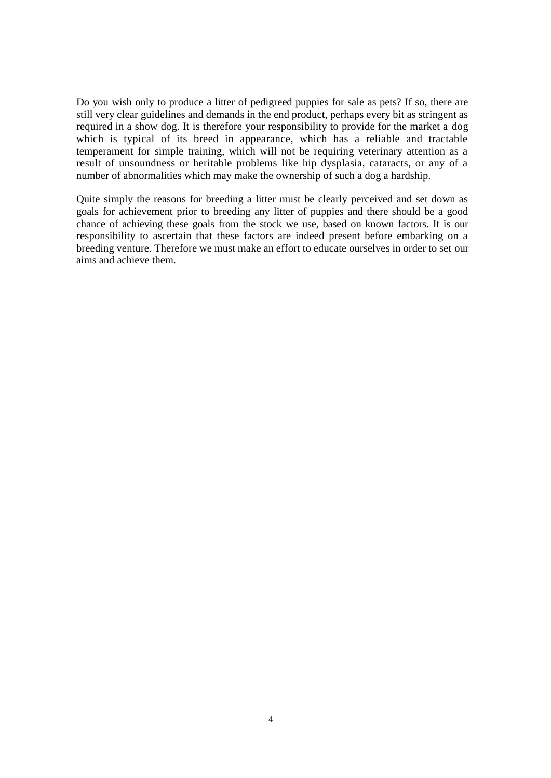Do you wish only to produce a litter of pedigreed puppies for sale as pets? If so, there are still very clear guidelines and demands in the end product, perhaps every bit as stringent as required in a show dog. It is therefore your responsibility to provide for the market a dog which is typical of its breed in appearance, which has a reliable and tractable temperament for simple training, which will not be requiring veterinary attention as a result of unsoundness or heritable problems like hip dysplasia, cataracts, or any of a number of abnormalities which may make the ownership of such a dog a hardship.

Quite simply the reasons for breeding a litter must be clearly perceived and set down as goals for achievement prior to breeding any litter of puppies and there should be a good chance of achieving these goals from the stock we use, based on known factors. It is our responsibility to ascertain that these factors are indeed present before embarking on a breeding venture. Therefore we must make an effort to educate ourselves in order to set our aims and achieve them.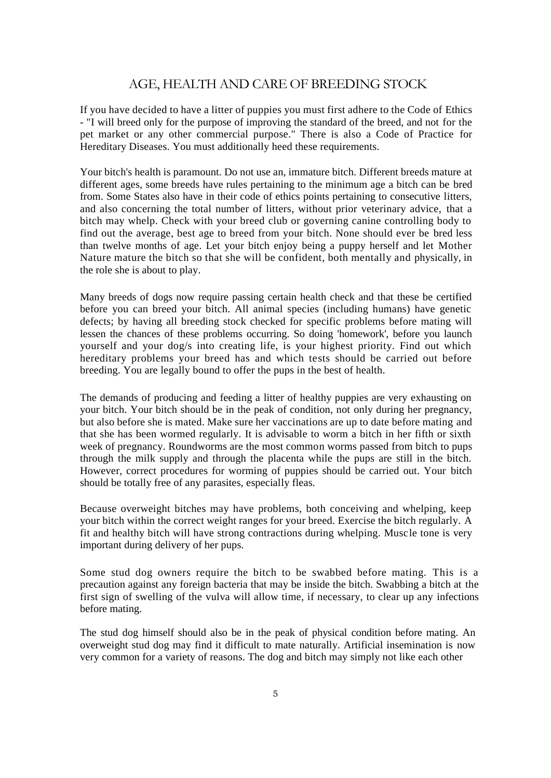## AGE, HEALTH AND CARE OF BREEDING STOCK

If you have decided to have a litter of puppies you must first adhere to the Code of Ethics - "I will breed only for the purpose of improving the standard of the breed, and not for the pet market or any other commercial purpose." There is also a Code of Practice for Hereditary Diseases. You must additionally heed these requirements.

Your bitch's health is paramount. Do not use an, immature bitch. Different breeds mature at different ages, some breeds have rules pertaining to the minimum age a bitch can be bred from. Some States also have in their code of ethics points pertaining to consecutive litters, and also concerning the total number of litters, without prior veterinary advice, that a bitch may whelp. Check with your breed club or governing canine controlling body to find out the average, best age to breed from your bitch. None should ever be bred less than twelve months of age. Let your bitch enjoy being a puppy herself and let Mother Nature mature the bitch so that she will be confident, both mentally and physically, in the role she is about to play.

Many breeds of dogs now require passing certain health check and that these be certified before you can breed your bitch. All animal species (including humans) have genetic defects; by having all breeding stock checked for specific problems before mating will lessen the chances of these problems occurring. So doing 'homework', before you launch yourself and your dog/s into creating life, is your highest priority. Find out which hereditary problems your breed has and which tests should be carried out before breeding. You are legally bound to offer the pups in the best of health.

The demands of producing and feeding a litter of healthy puppies are very exhausting on your bitch. Your bitch should be in the peak of condition, not only during her pregnancy, but also before she is mated. Make sure her vaccinations are up to date before mating and that she has been wormed regularly. It is advisable to worm a bitch in her fifth or sixth week of pregnancy. Roundworms are the most common worms passed from bitch to pups through the milk supply and through the placenta while the pups are still in the bitch. However, correct procedures for worming of puppies should be carried out. Your bitch should be totally free of any parasites, especially fleas.

Because overweight bitches may have problems, both conceiving and whelping, keep your bitch within the correct weight ranges for your breed. Exercise the bitch regularly. A fit and healthy bitch will have strong contractions during whelping. Muscle tone is very important during delivery of her pups.

Some stud dog owners require the bitch to be swabbed before mating. This is a precaution against any foreign bacteria that may be inside the bitch. Swabbing a bitch at the first sign of swelling of the vulva will allow time, if necessary, to clear up any infections before mating.

The stud dog himself should also be in the peak of physical condition before mating. An overweight stud dog may find it difficult to mate naturally. Artificial insemination is now very common for a variety of reasons. The dog and bitch may simply not like each other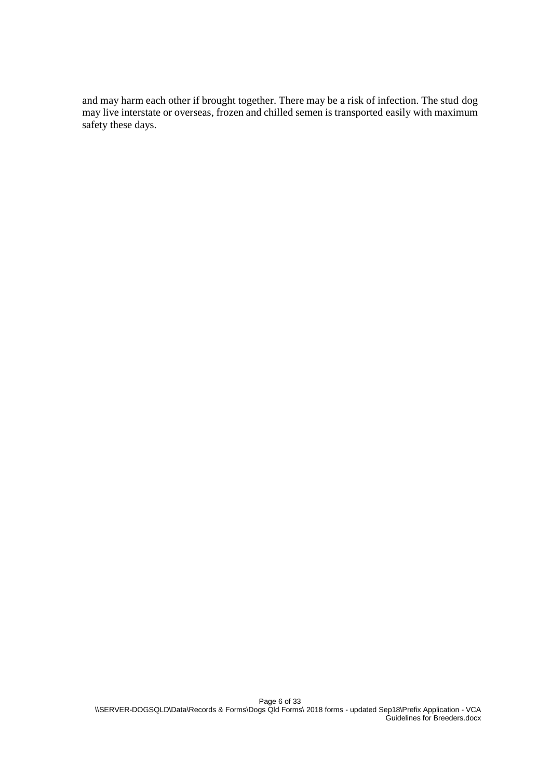and may harm each other if brought together. There may be a risk of infection. The stud dog may live interstate or overseas, frozen and chilled semen is transported easily with maximum safety these days.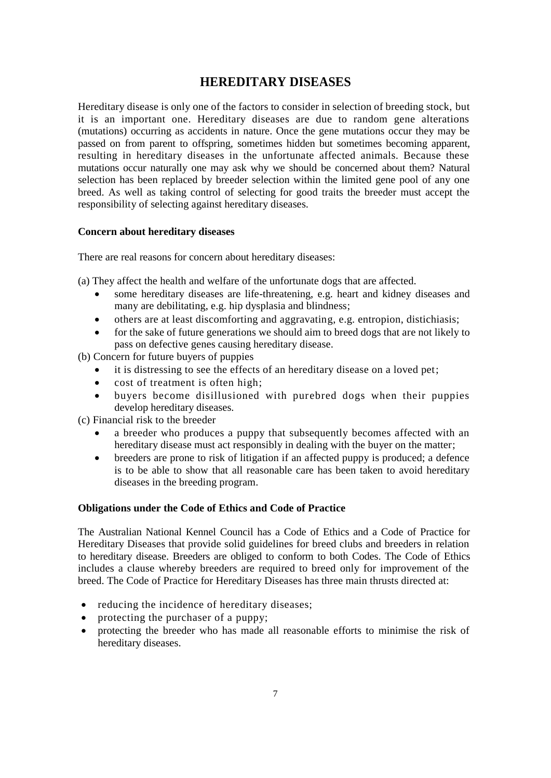## **HEREDITARY DISEASES**

Hereditary disease is only one of the factors to consider in selection of breeding stock, but it is an important one. Hereditary diseases are due to random gene alterations (mutations) occurring as accidents in nature. Once the gene mutations occur they may be passed on from parent to offspring, sometimes hidden but sometimes becoming apparent, resulting in hereditary diseases in the unfortunate affected animals. Because these mutations occur naturally one may ask why we should be concerned about them? Natural selection has been replaced by breeder selection within the limited gene pool of any one breed. As well as taking control of selecting for good traits the breeder must accept the responsibility of selecting against hereditary diseases.

## **Concern about hereditary diseases**

There are real reasons for concern about hereditary diseases:

(a) They affect the health and welfare of the unfortunate dogs that are affected.

- some hereditary diseases are life-threatening, e.g. heart and kidney diseases and many are debilitating, e.g. hip dysplasia and blindness;
- others are at least discomforting and aggravating, e.g. entropion, distichiasis;
- for the sake of future generations we should aim to breed dogs that are not likely to pass on defective genes causing hereditary disease.

(b) Concern for future buyers of puppies

- it is distressing to see the effects of an hereditary disease on a loved pet;
- cost of treatment is often high;
- buyers become disillusioned with purebred dogs when their puppies develop hereditary diseases.

(c) Financial risk to the breeder

- a breeder who produces a puppy that subsequently becomes affected with an hereditary disease must act responsibly in dealing with the buyer on the matter;
- breeders are prone to risk of litigation if an affected puppy is produced; a defence is to be able to show that all reasonable care has been taken to avoid hereditary diseases in the breeding program.

#### **Obligations under the Code of Ethics and Code of Practice**

The Australian National Kennel Council has a Code of Ethics and a Code of Practice for Hereditary Diseases that provide solid guidelines for breed clubs and breeders in relation to hereditary disease. Breeders are obliged to conform to both Codes. The Code of Ethics includes a clause whereby breeders are required to breed only for improvement of the breed. The Code of Practice for Hereditary Diseases has three main thrusts directed at:

- reducing the incidence of hereditary diseases;
- protecting the purchaser of a puppy;
- protecting the breeder who has made all reasonable efforts to minimise the risk of hereditary diseases.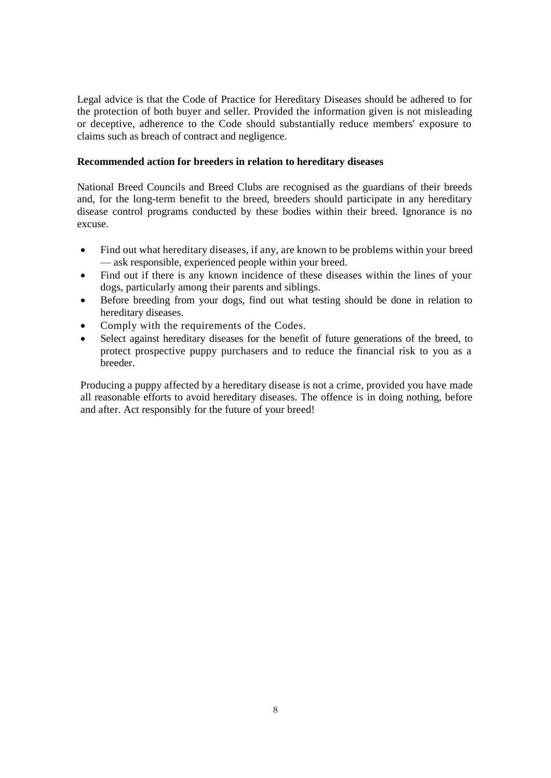Legal advice is that the Code of Practice for Hereditary Diseases should be adhered to for the protection of both buyer and seller. Provided the information given is not misleading or deceptive, adherence to the Code should substantially reduce members' exposure to claims such as breach of contract and negligence.

## **Recommended action for breeders in relation to hereditary diseases**

National Breed Councils and Breed Clubs are recognised as the guardians of their breeds and, for the long-term benefit to the breed, breeders should participate in any hereditary disease control programs conducted by these bodies within their breed. Ignorance is no excuse.

- Find out what hereditary diseases, if any, are known to be problems within your breed — ask responsible, experienced people within your breed.
- Find out if there is any known incidence of these diseases within the lines of your dogs, particularly among their parents and siblings.
- Before breeding from your dogs, find out what testing should be done in relation to hereditary diseases.
- Comply with the requirements of the Codes.
- Select against hereditary diseases for the benefit of future generations of the breed, to protect prospective puppy purchasers and to reduce the financial risk to you as a breeder.

Producing a puppy affected by a hereditary disease is not a crime, provided you have made all reasonable efforts to avoid hereditary diseases. The offence is in doing nothing, before and after. Act responsibly for the future of your breed!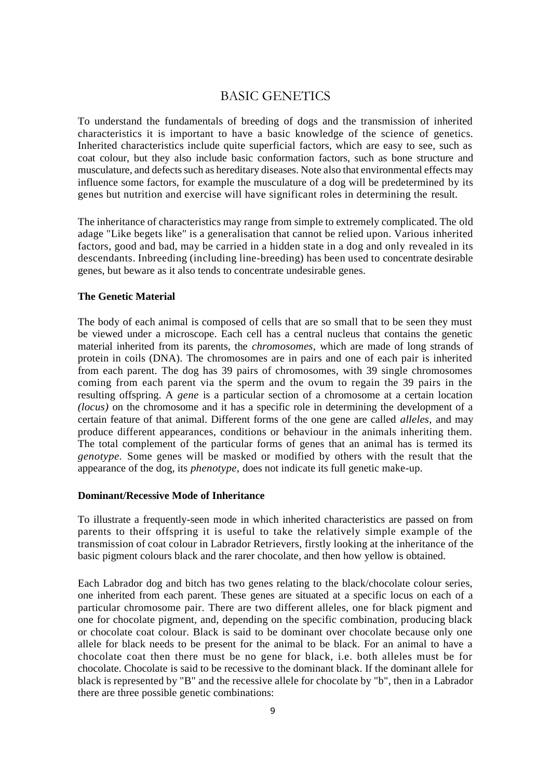## BASIC GENETICS

To understand the fundamentals of breeding of dogs and the transmission of inherited characteristics it is important to have a basic knowledge of the science of genetics. Inherited characteristics include quite superficial factors, which are easy to see, such as coat colour, but they also include basic conformation factors, such as bone structure and musculature, and defects such as hereditary diseases. Note also that environmental effects may influence some factors, for example the musculature of a dog will be predetermined by its genes but nutrition and exercise will have significant roles in determining the result.

The inheritance of characteristics may range from simple to extremely complicated. The old adage "Like begets like" is a generalisation that cannot be relied upon. Various inherited factors, good and bad, may be carried in a hidden state in a dog and only revealed in its descendants. Inbreeding (including line-breeding) has been used to concentrate desirable genes, but beware as it also tends to concentrate undesirable genes.

## **The Genetic Material**

The body of each animal is composed of cells that are so small that to be seen they must be viewed under a microscope. Each cell has a central nucleus that contains the genetic material inherited from its parents, the *chromosomes,* which are made of long strands of protein in coils (DNA). The chromosomes are in pairs and one of each pair is inherited from each parent. The dog has 39 pairs of chromosomes, with 39 single chromosomes coming from each parent via the sperm and the ovum to regain the 39 pairs in the resulting offspring. A *gene* is a particular section of a chromosome at a certain location *(locus)* on the chromosome and it has a specific role in determining the development of a certain feature of that animal. Different forms of the one gene are called *alleles,* and may produce different appearances, conditions or behaviour in the animals inheriting them. The total complement of the particular forms of genes that an animal has is termed its *genotype.* Some genes will be masked or modified by others with the result that the appearance of the dog, its *phenotype,* does not indicate its full genetic make-up.

#### **Dominant/Recessive Mode of Inheritance**

To illustrate a frequently-seen mode in which inherited characteristics are passed on from parents to their offspring it is useful to take the relatively simple example of the transmission of coat colour in Labrador Retrievers, firstly looking at the inheritance of the basic pigment colours black and the rarer chocolate, and then how yellow is obtained.

Each Labrador dog and bitch has two genes relating to the black/chocolate colour series, one inherited from each parent. These genes are situated at a specific locus on each of a particular chromosome pair. There are two different alleles, one for black pigment and one for chocolate pigment, and, depending on the specific combination, producing black or chocolate coat colour. Black is said to be dominant over chocolate because only one allele for black needs to be present for the animal to be black. For an animal to have a chocolate coat then there must be no gene for black, i.e. both alleles must be for chocolate. Chocolate is said to be recessive to the dominant black. If the dominant allele for black is represented by "B" and the recessive allele for chocolate by "b", then in a Labrador there are three possible genetic combinations: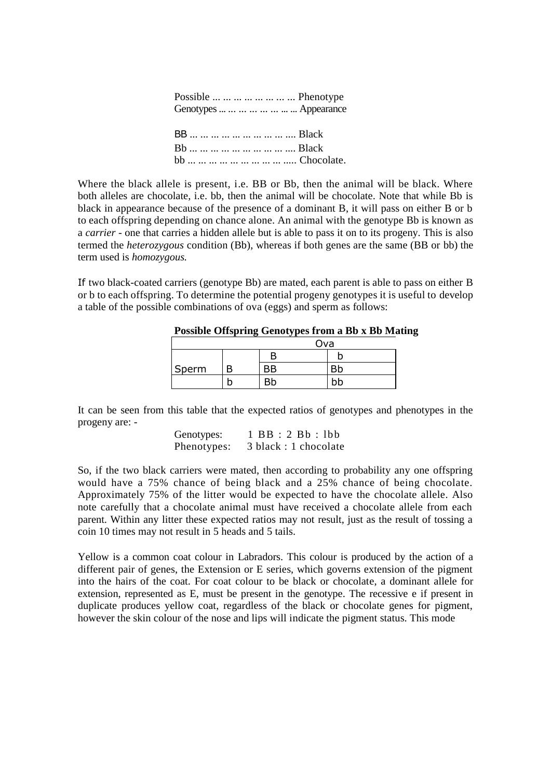| Possible        Phenotype   |
|-----------------------------|
| Genotypes        Appearance |
|                             |
| BB          Black           |
| Bb          Black           |
| bb          Chocolate.      |
|                             |

Where the black allele is present, i.e. BB or Bb, then the animal will be black. Where both alleles are chocolate, i.e. bb, then the animal will be chocolate. Note that while Bb is black in appearance because of the presence of a dominant B, it will pass on either B or b to each offspring depending on chance alone. An animal with the genotype Bb is known as a *carrier -* one that carries a hidden allele but is able to pass it on to its progeny. This is also termed the *heterozygous* condition (Bb), whereas if both genes are the same (BB or bb) the term used is *homozygous.*

If two black-coated carriers (genotype Bb) are mated, each parent is able to pass on either B or b to each offspring. To determine the potential progeny genotypes it is useful to develop a table of the possible combinations of ova (eggs) and sperm as follows:

|       |     | $\sim$ controls of the period position was a not have |  |
|-------|-----|-------------------------------------------------------|--|
|       |     | Ova                                                   |  |
|       |     |                                                       |  |
| Sperm | BВ  |                                                       |  |
|       | Bb. | bb                                                    |  |

**Possible Offspring Genotypes from a Bb x Bb Mating**

It can be seen from this table that the expected ratios of genotypes and phenotypes in the progeny are: -

> Genotypes: 1 BB : 2 Bb : lbb Phenotypes: 3 black : 1 chocolate

So, if the two black carriers were mated, then according to probability any one offspring would have a 75% chance of being black and a 25% chance of being chocolate. Approximately 75% of the litter would be expected to have the chocolate allele. Also note carefully that a chocolate animal must have received a chocolate allele from each parent. Within any litter these expected ratios may not result, just as the result of tossing a coin 10 times may not result in 5 heads and 5 tails.

Yellow is a common coat colour in Labradors. This colour is produced by the action of a different pair of genes, the Extension or E series, which governs extension of the pigment into the hairs of the coat. For coat colour to be black or chocolate, a dominant allele for extension, represented as E, must be present in the genotype. The recessive e if present in duplicate produces yellow coat, regardless of the black or chocolate genes for pigment, however the skin colour of the nose and lips will indicate the pigment status. This mode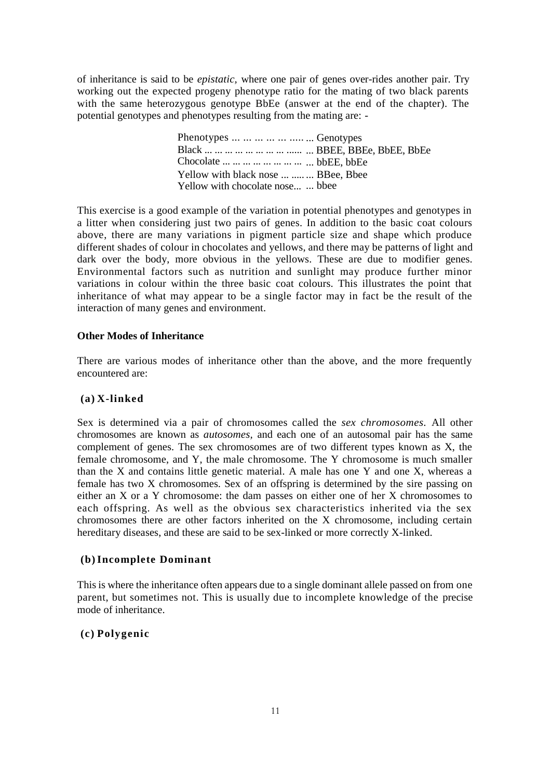of inheritance is said to be *epistatic,* where one pair of genes over-rides another pair. Try working out the expected progeny phenotype ratio for the mating of two black parents with the same heterozygous genotype BbEe (answer at the end of the chapter). The potential genotypes and phenotypes resulting from the mating are: -

> Phenotypes ... ... ... ... ... .... ... Genotypes Black ... ... ... ... ... ... ... ... ..... ... BBEE, BBEe, BbEE, BbEe Chocolate ... ... ... ... ... ... ... ... ... bbEE, bbEe Yellow with black nose ... ..... BBee, Bbee Yellow with chocolate nose... ... bbee

This exercise is a good example of the variation in potential phenotypes and genotypes in a litter when considering just two pairs of genes. In addition to the basic coat colours above, there are many variations in pigment particle size and shape which produce different shades of colour in chocolates and yellows, and there may be patterns of light and dark over the body, more obvious in the yellows. These are due to modifier genes. Environmental factors such as nutrition and sunlight may produce further minor variations in colour within the three basic coat colours. This illustrates the point that inheritance of what may appear to be a single factor may in fact be the result of the interaction of many genes and environment.

#### **Other Modes of Inheritance**

There are various modes of inheritance other than the above, and the more frequently encountered are:

#### **(a) X-linked**

Sex is determined via a pair of chromosomes called the *sex chromosomes.* All other chromosomes are known as *autosomes,* and each one of an autosomal pair has the same complement of genes. The sex chromosomes are of two different types known as X, the female chromosome, and Y, the male chromosome. The Y chromosome is much smaller than the X and contains little genetic material. A male has one Y and one X, whereas a female has two X chromosomes. Sex of an offspring is determined by the sire passing on either an X or a Y chromosome: the dam passes on either one of her X chromosomes to each offspring. As well as the obvious sex characteristics inherited via the sex chromosomes there are other factors inherited on the X chromosome, including certain hereditary diseases, and these are said to be sex-linked or more correctly X-linked.

#### **(b)Incomplete Dominant**

This is where the inheritance often appears due to a single dominant allele passed on from one parent, but sometimes not. This is usually due to incomplete knowledge of the precise mode of inheritance.

## **(c) Polygenic**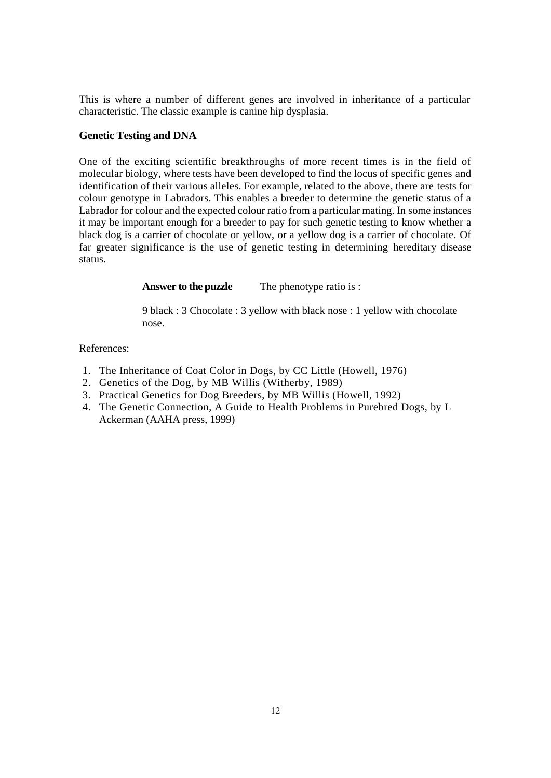This is where a number of different genes are involved in inheritance of a particular characteristic. The classic example is canine hip dysplasia.

## **Genetic Testing and DNA**

One of the exciting scientific breakthroughs of more recent times is in the field of molecular biology, where tests have been developed to find the locus of specific genes and identification of their various alleles. For example, related to the above, there are tests for colour genotype in Labradors. This enables a breeder to determine the genetic status of a Labrador for colour and the expected colour ratio from a particular mating. In some instances it may be important enough for a breeder to pay for such genetic testing to know whether a black dog is a carrier of chocolate or yellow, or a yellow dog is a carrier of chocolate. Of far greater significance is the use of genetic testing in determining hereditary disease status.

## **Answer to the puzzle** The phenotype ratio is :

9 black : 3 Chocolate : 3 yellow with black nose : 1 yellow with chocolate nose.

References:

- 1. The Inheritance of Coat Color in Dogs, by CC Little (Howell, 1976)
- 2. Genetics of the Dog, by MB Willis (Witherby, 1989)
- 3. Practical Genetics for Dog Breeders, by MB Willis (Howell, 1992)
- 4. The Genetic Connection, A Guide to Health Problems in Purebred Dogs, by L Ackerman (AAHA press, 1999)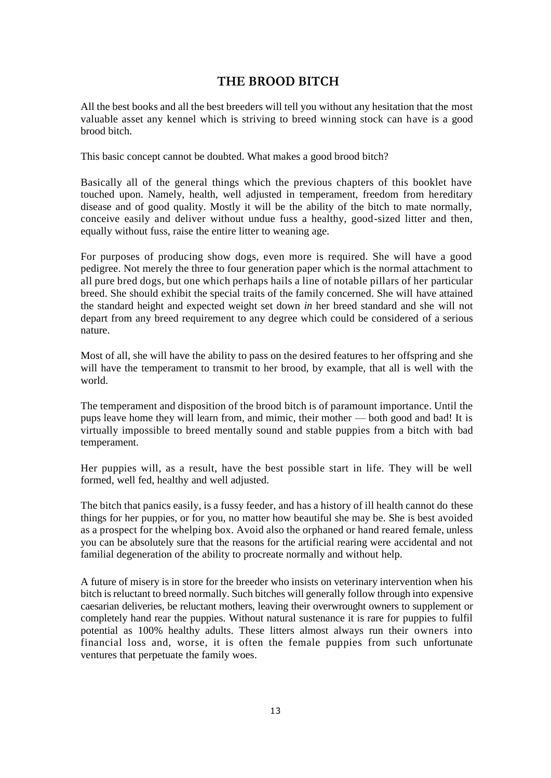## **THE BROOD BITCH**

All the best books and all the best breeders will tell you without any hesitation that the most valuable asset any kennel which is striving to breed winning stock can have is a good brood bitch.

This basic concept cannot be doubted. What makes a good brood bitch?

Basically all of the general things which the previous chapters of this booklet have touched upon. Namely, health, well adjusted in temperament, freedom from hereditary disease and of good quality. Mostly it will be the ability of the bitch to mate normally, conceive easily and deliver without undue fuss a healthy, good-sized litter and then, equally without fuss, raise the entire litter to weaning age.

For purposes of producing show dogs, even more is required. She will have a good pedigree. Not merely the three to four generation paper which is the normal attachment to all pure bred dogs, but one which perhaps hails a line of notable pillars of her particular breed. She should exhibit the special traits of the family concerned. She will have attained the standard height and expected weight set down *in* her breed standard and she will not depart from any breed requirement to any degree which could be considered of a serious nature.

Most of all, she will have the ability to pass on the desired features to her offspring and she will have the temperament to transmit to her brood, by example, that all is well with the world.

The temperament and disposition of the brood bitch is of paramount importance. Until the pups leave home they will learn from, and mimic, their mother — both good and bad! It is virtually impossible to breed mentally sound and stable puppies from a bitch with bad temperament.

Her puppies will, as a result, have the best possible start in life. They will be well formed, well fed, healthy and well adjusted.

The bitch that panics easily, is a fussy feeder, and has a history of ill health cannot do these things for her puppies, or for you, no matter how beautiful she may be. She is best avoided as a prospect for the whelping box. Avoid also the orphaned or hand reared female, unless you can be absolutely sure that the reasons for the artificial rearing were accidental and not familial degeneration of the ability to procreate normally and without help.

A future of misery is in store for the breeder who insists on veterinary intervention when his bitch is reluctant to breed normally. Such bitches will generally follow through into expensive caesarian deliveries, be reluctant mothers, leaving their overwrought owners to supplement or completely hand rear the puppies. Without natural sustenance it is rare for puppies to fulfil potential as 100% healthy adults. These litters almost always run their owners into financial loss and, worse, it is often the female puppies from such unfortunate ventures that perpetuate the family woes.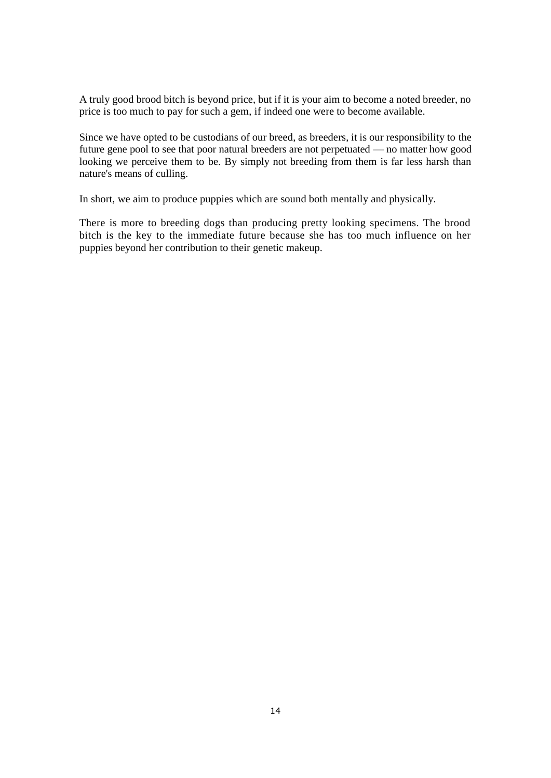A truly good brood bitch is beyond price, but if it is your aim to become a noted breeder, no price is too much to pay for such a gem, if indeed one were to become available.

Since we have opted to be custodians of our breed, as breeders, it is our responsibility to the future gene pool to see that poor natural breeders are not perpetuated — no matter how good looking we perceive them to be. By simply not breeding from them is far less harsh than nature's means of culling.

In short, we aim to produce puppies which are sound both mentally and physically.

There is more to breeding dogs than producing pretty looking specimens. The brood bitch is the key to the immediate future because she has too much influence on her puppies beyond her contribution to their genetic makeup.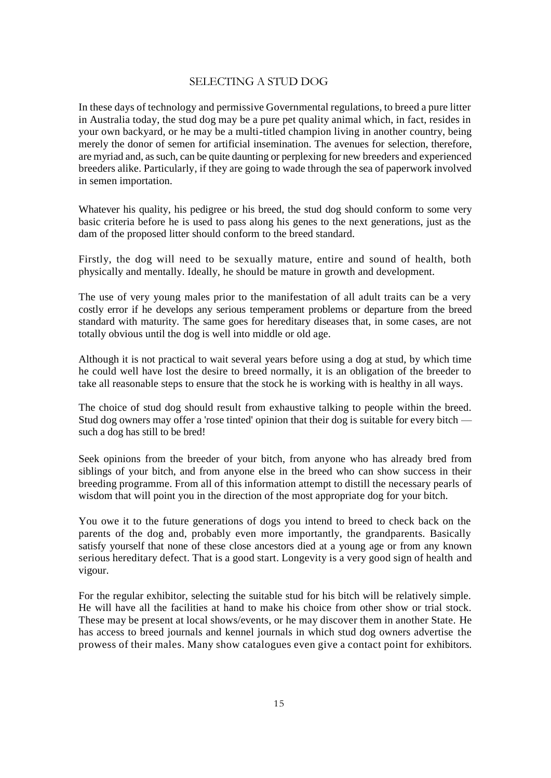## SELECTING A STUD DOG

In these days of technology and permissive Governmental regulations, to breed a pure litter in Australia today, the stud dog may be a pure pet quality animal which, in fact, resides in your own backyard, or he may be a multi-titled champion living in another country, being merely the donor of semen for artificial insemination. The avenues for selection, therefore, are myriad and, as such, can be quite daunting or perplexing for new breeders and experienced breeders alike. Particularly, if they are going to wade through the sea of paperwork involved in semen importation.

Whatever his quality, his pedigree or his breed, the stud dog should conform to some very basic criteria before he is used to pass along his genes to the next generations, just as the dam of the proposed litter should conform to the breed standard.

Firstly, the dog will need to be sexually mature, entire and sound of health, both physically and mentally. Ideally, he should be mature in growth and development.

The use of very young males prior to the manifestation of all adult traits can be a very costly error if he develops any serious temperament problems or departure from the breed standard with maturity. The same goes for hereditary diseases that, in some cases, are not totally obvious until the dog is well into middle or old age.

Although it is not practical to wait several years before using a dog at stud, by which time he could well have lost the desire to breed normally, it is an obligation of the breeder to take all reasonable steps to ensure that the stock he is working with is healthy in all ways.

The choice of stud dog should result from exhaustive talking to people within the breed. Stud dog owners may offer a 'rose tinted' opinion that their dog is suitable for every bitch such a dog has still to be bred!

Seek opinions from the breeder of your bitch, from anyone who has already bred from siblings of your bitch, and from anyone else in the breed who can show success in their breeding programme. From all of this information attempt to distill the necessary pearls of wisdom that will point you in the direction of the most appropriate dog for your bitch.

You owe it to the future generations of dogs you intend to breed to check back on the parents of the dog and, probably even more importantly, the grandparents. Basically satisfy yourself that none of these close ancestors died at a young age or from any known serious hereditary defect. That is a good start. Longevity is a very good sign of health and vigour.

For the regular exhibitor, selecting the suitable stud for his bitch will be relatively simple. He will have all the facilities at hand to make his choice from other show or trial stock. These may be present at local shows/events, or he may discover them in another State. He has access to breed journals and kennel journals in which stud dog owners advertise the prowess of their males. Many show catalogues even give a contact point for exhibitors.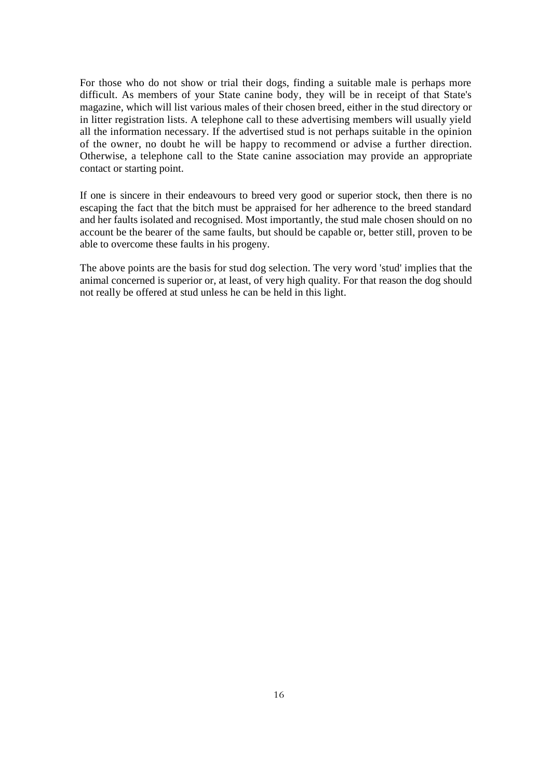For those who do not show or trial their dogs, finding a suitable male is perhaps more difficult. As members of your State canine body, they will be in receipt of that State's magazine, which will list various males of their chosen breed, either in the stud directory or in litter registration lists. A telephone call to these advertising members will usually yield all the information necessary. If the advertised stud is not perhaps suitable in the opinion of the owner, no doubt he will be happy to recommend or advise a further direction. Otherwise, a telephone call to the State canine association may provide an appropriate contact or starting point.

If one is sincere in their endeavours to breed very good or superior stock, then there is no escaping the fact that the bitch must be appraised for her adherence to the breed standard and her faults isolated and recognised. Most importantly, the stud male chosen should on no account be the bearer of the same faults, but should be capable or, better still, proven to be able to overcome these faults in his progeny.

The above points are the basis for stud dog selection. The very word 'stud' implies that the animal concerned is superior or, at least, of very high quality. For that reason the dog should not really be offered at stud unless he can be held in this light.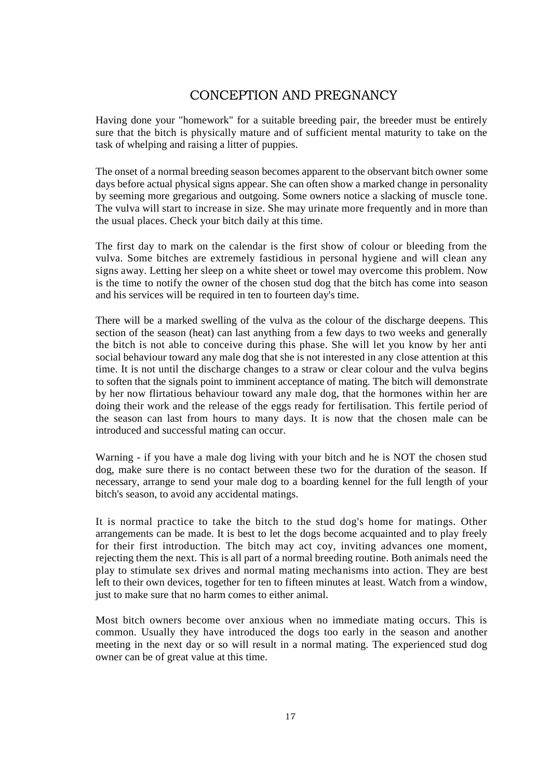## CONCEPTION AND PREGNANCY

Having done your "homework" for a suitable breeding pair, the breeder must be entirely sure that the bitch is physically mature and of sufficient mental maturity to take on the task of whelping and raising a litter of puppies.

The onset of a normal breeding season becomes apparent to the observant bitch owner some days before actual physical signs appear. She can often show a marked change in personality by seeming more gregarious and outgoing. Some owners notice a slacking of muscle tone. The vulva will start to increase in size. She may urinate more frequently and in more than the usual places. Check your bitch daily at this time.

The first day to mark on the calendar is the first show of colour or bleeding from the vulva. Some bitches are extremely fastidious in personal hygiene and will clean any signs away. Letting her sleep on a white sheet or towel may overcome this problem. Now is the time to notify the owner of the chosen stud dog that the bitch has come into season and his services will be required in ten to fourteen day's time.

There will be a marked swelling of the vulva as the colour of the discharge deepens. This section of the season (heat) can last anything from a few days to two weeks and generally the bitch is not able to conceive during this phase. She will let you know by her anti social behaviour toward any male dog that she is not interested in any close attention at this time. It is not until the discharge changes to a straw or clear colour and the vulva begins to soften that the signals point to imminent acceptance of mating. The bitch will demonstrate by her now flirtatious behaviour toward any male dog, that the hormones within her are doing their work and the release of the eggs ready for fertilisation. This fertile period of the season can last from hours to many days. It is now that the chosen male can be introduced and successful mating can occur.

Warning - if you have a male dog living with your bitch and he is NOT the chosen stud dog, make sure there is no contact between these two for the duration of the season. If necessary, arrange to send your male dog to a boarding kennel for the full length of your bitch's season, to avoid any accidental matings.

It is normal practice to take the bitch to the stud dog's home for matings. Other arrangements can be made. It is best to let the dogs become acquainted and to play freely for their first introduction. The bitch may act coy, inviting advances one moment, rejecting them the next. This is all part of a normal breeding routine. Both animals need the play to stimulate sex drives and normal mating mechanisms into action. They are best left to their own devices, together for ten to fifteen minutes at least. Watch from a window, just to make sure that no harm comes to either animal.

Most bitch owners become over anxious when no immediate mating occurs. This is common. Usually they have introduced the dogs too early in the season and another meeting in the next day or so will result in a normal mating. The experienced stud dog owner can be of great value at this time.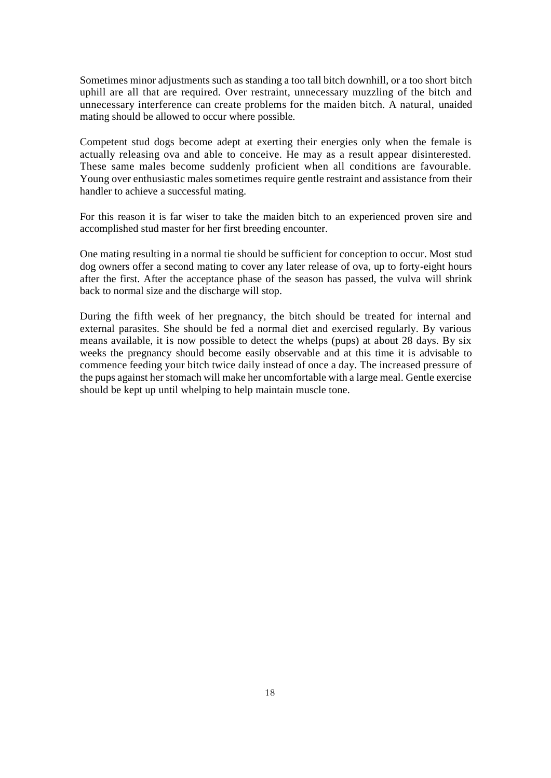Sometimes minor adjustments such as standing a too tall bitch downhill, or a too short bitch uphill are all that are required. Over restraint, unnecessary muzzling of the bitch and unnecessary interference can create problems for the maiden bitch. A natural, unaided mating should be allowed to occur where possible.

Competent stud dogs become adept at exerting their energies only when the female is actually releasing ova and able to conceive. He may as a result appear disinterested. These same males become suddenly proficient when all conditions are favourable. Young over enthusiastic males sometimes require gentle restraint and assistance from their handler to achieve a successful mating.

For this reason it is far wiser to take the maiden bitch to an experienced proven sire and accomplished stud master for her first breeding encounter.

One mating resulting in a normal tie should be sufficient for conception to occur. Most stud dog owners offer a second mating to cover any later release of ova, up to forty-eight hours after the first. After the acceptance phase of the season has passed, the vulva will shrink back to normal size and the discharge will stop.

During the fifth week of her pregnancy, the bitch should be treated for internal and external parasites. She should be fed a normal diet and exercised regularly. By various means available, it is now possible to detect the whelps (pups) at about 28 days. By six weeks the pregnancy should become easily observable and at this time it is advisable to commence feeding your bitch twice daily instead of once a day. The increased pressure of the pups against her stomach will make her uncomfortable with a large meal. Gentle exercise should be kept up until whelping to help maintain muscle tone.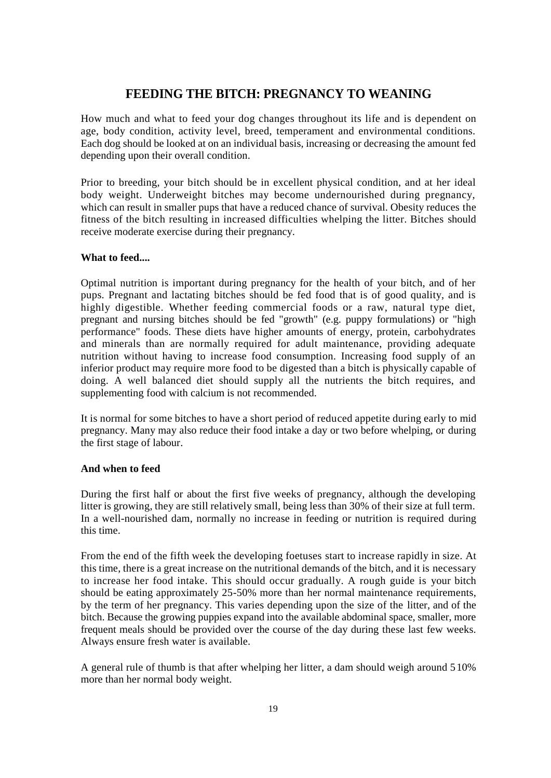## **FEEDING THE BITCH: PREGNANCY TO WEANING**

How much and what to feed your dog changes throughout its life and is dependent on age, body condition, activity level, breed, temperament and environmental conditions. Each dog should be looked at on an individual basis, increasing or decreasing the amount fed depending upon their overall condition.

Prior to breeding, your bitch should be in excellent physical condition, and at her ideal body weight. Underweight bitches may become undernourished during pregnancy, which can result in smaller pups that have a reduced chance of survival. Obesity reduces the fitness of the bitch resulting in increased difficulties whelping the litter. Bitches should receive moderate exercise during their pregnancy.

## **What to feed....**

Optimal nutrition is important during pregnancy for the health of your bitch, and of her pups. Pregnant and lactating bitches should be fed food that is of good quality, and is highly digestible. Whether feeding commercial foods or a raw, natural type diet, pregnant and nursing bitches should be fed "growth" (e.g. puppy formulations) or "high performance" foods. These diets have higher amounts of energy, protein, carbohydrates and minerals than are normally required for adult maintenance, providing adequate nutrition without having to increase food consumption. Increasing food supply of an inferior product may require more food to be digested than a bitch is physically capable of doing. A well balanced diet should supply all the nutrients the bitch requires, and supplementing food with calcium is not recommended.

It is normal for some bitches to have a short period of reduced appetite during early to mid pregnancy. Many may also reduce their food intake a day or two before whelping, or during the first stage of labour.

## **And when to feed**

During the first half or about the first five weeks of pregnancy, although the developing litter is growing, they are still relatively small, being less than 30% of their size at full term. In a well-nourished dam, normally no increase in feeding or nutrition is required during this time.

From the end of the fifth week the developing foetuses start to increase rapidly in size. At this time, there is a great increase on the nutritional demands of the bitch, and it is necessary to increase her food intake. This should occur gradually. A rough guide is your bitch should be eating approximately 25-50% more than her normal maintenance requirements, by the term of her pregnancy. This varies depending upon the size of the litter, and of the bitch. Because the growing puppies expand into the available abdominal space, smaller, more frequent meals should be provided over the course of the day during these last few weeks. Always ensure fresh water is available.

A general rule of thumb is that after whelping her litter, a dam should weigh around 510% more than her normal body weight.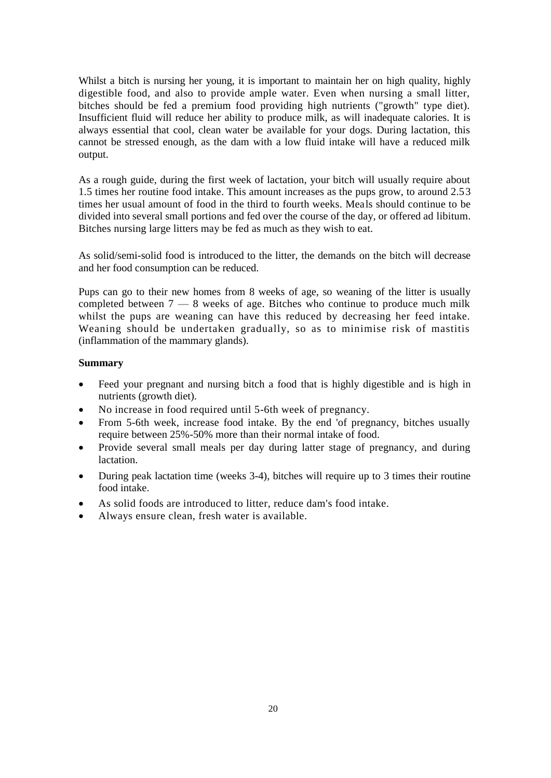Whilst a bitch is nursing her young, it is important to maintain her on high quality, highly digestible food, and also to provide ample water. Even when nursing a small litter, bitches should be fed a premium food providing high nutrients ("growth" type diet). Insufficient fluid will reduce her ability to produce milk, as will inadequate calories. It is always essential that cool, clean water be available for your dogs. During lactation, this cannot be stressed enough, as the dam with a low fluid intake will have a reduced milk output.

As a rough guide, during the first week of lactation, your bitch will usually require about 1.5 times her routine food intake. This amount increases as the pups grow, to around 2.53 times her usual amount of food in the third to fourth weeks. Meals should continue to be divided into several small portions and fed over the course of the day, or offered ad libitum. Bitches nursing large litters may be fed as much as they wish to eat.

As solid/semi-solid food is introduced to the litter, the demands on the bitch will decrease and her food consumption can be reduced.

Pups can go to their new homes from 8 weeks of age, so weaning of the litter is usually completed between  $7 - 8$  weeks of age. Bitches who continue to produce much milk whilst the pups are weaning can have this reduced by decreasing her feed intake. Weaning should be undertaken gradually, so as to minimise risk of mastitis (inflammation of the mammary glands).

## **Summary**

- Feed your pregnant and nursing bitch a food that is highly digestible and is high in nutrients (growth diet).
- No increase in food required until 5-6th week of pregnancy.
- From 5-6th week, increase food intake. By the end 'of pregnancy, bitches usually require between 25%-50% more than their normal intake of food.
- Provide several small meals per day during latter stage of pregnancy, and during lactation.
- During peak lactation time (weeks 3-4), bitches will require up to 3 times their routine food intake.
- As solid foods are introduced to litter, reduce dam's food intake.
- Always ensure clean, fresh water is available.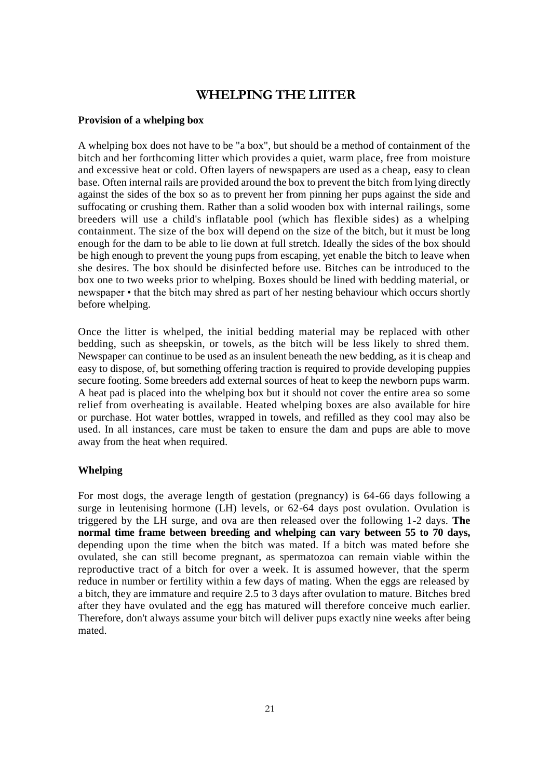## **WHELPING THE LIITER**

#### **Provision of a whelping box**

A whelping box does not have to be "a box", but should be a method of containment of the bitch and her forthcoming litter which provides a quiet, warm place, free from moisture and excessive heat or cold. Often layers of newspapers are used as a cheap, easy to clean base. Often internal rails are provided around the box to prevent the bitch from lying directly against the sides of the box so as to prevent her from pinning her pups against the side and suffocating or crushing them. Rather than a solid wooden box with internal railings, some breeders will use a child's inflatable pool (which has flexible sides) as a whelping containment. The size of the box will depend on the size of the bitch, but it must be long enough for the dam to be able to lie down at full stretch. Ideally the sides of the box should be high enough to prevent the young pups from escaping, yet enable the bitch to leave when she desires. The box should be disinfected before use. Bitches can be introduced to the box one to two weeks prior to whelping. Boxes should be lined with bedding material, or newspaper • that the bitch may shred as part of her nesting behaviour which occurs shortly before whelping.

Once the litter is whelped, the initial bedding material may be replaced with other bedding, such as sheepskin, or towels, as the bitch will be less likely to shred them. Newspaper can continue to be used as an insulent beneath the new bedding, as it is cheap and easy to dispose, of, but something offering traction is required to provide developing puppies secure footing. Some breeders add external sources of heat to keep the newborn pups warm. A heat pad is placed into the whelping box but it should not cover the entire area so some relief from overheating is available. Heated whelping boxes are also available for hire or purchase. Hot water bottles, wrapped in towels, and refilled as they cool may also be used. In all instances, care must be taken to ensure the dam and pups are able to move away from the heat when required.

#### **Whelping**

For most dogs, the average length of gestation (pregnancy) is 64-66 days following a surge in leutenising hormone (LH) levels, or 62-64 days post ovulation. Ovulation is triggered by the LH surge, and ova are then released over the following 1-2 days. **The normal time frame between breeding and whelping can vary between 55 to 70 days,**  depending upon the time when the bitch was mated. If a bitch was mated before she ovulated, she can still become pregnant, as spermatozoa can remain viable within the reproductive tract of a bitch for over a week. It is assumed however, that the sperm reduce in number or fertility within a few days of mating. When the eggs are released by a bitch, they are immature and require 2.5 to 3 days after ovulation to mature. Bitches bred after they have ovulated and the egg has matured will therefore conceive much earlier. Therefore, don't always assume your bitch will deliver pups exactly nine weeks after being mated.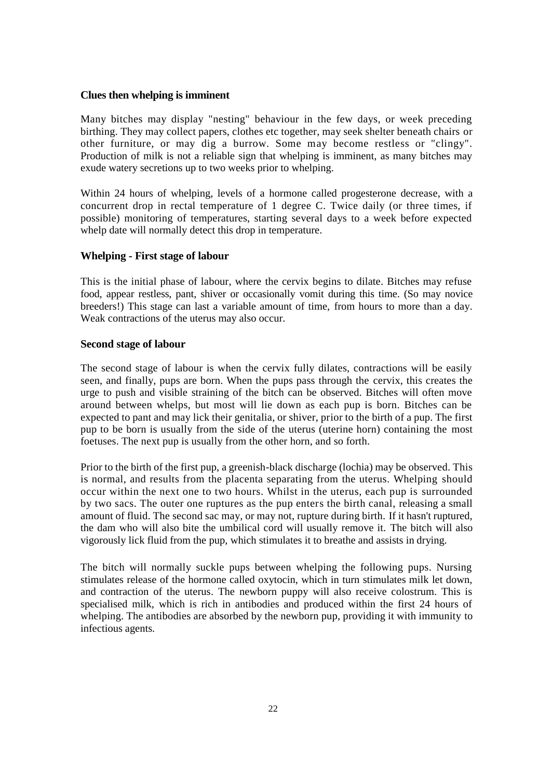## **Clues then whelping is imminent**

Many bitches may display "nesting" behaviour in the few days, or week preceding birthing. They may collect papers, clothes etc together, may seek shelter beneath chairs or other furniture, or may dig a burrow. Some may become restless or "clingy". Production of milk is not a reliable sign that whelping is imminent, as many bitches may exude watery secretions up to two weeks prior to whelping.

Within 24 hours of whelping, levels of a hormone called progesterone decrease, with a concurrent drop in rectal temperature of 1 degree C. Twice daily (or three times, if possible) monitoring of temperatures, starting several days to a week before expected whelp date will normally detect this drop in temperature.

## **Whelping - First stage of labour**

This is the initial phase of labour, where the cervix begins to dilate. Bitches may refuse food, appear restless, pant, shiver or occasionally vomit during this time. (So may novice breeders!) This stage can last a variable amount of time, from hours to more than a day. Weak contractions of the uterus may also occur.

## **Second stage of labour**

The second stage of labour is when the cervix fully dilates, contractions will be easily seen, and finally, pups are born. When the pups pass through the cervix, this creates the urge to push and visible straining of the bitch can be observed. Bitches will often move around between whelps, but most will lie down as each pup is born. Bitches can be expected to pant and may lick their genitalia, or shiver, prior to the birth of a pup. The first pup to be born is usually from the side of the uterus (uterine horn) containing the most foetuses. The next pup is usually from the other horn, and so forth.

Prior to the birth of the first pup, a greenish-black discharge (lochia) may be observed. This is normal, and results from the placenta separating from the uterus. Whelping should occur within the next one to two hours. Whilst in the uterus, each pup is surrounded by two sacs. The outer one ruptures as the pup enters the birth canal, releasing a small amount of fluid. The second sac may, or may not, rupture during birth. If it hasn't ruptured, the dam who will also bite the umbilical cord will usually remove it. The bitch will also vigorously lick fluid from the pup, which stimulates it to breathe and assists in drying.

The bitch will normally suckle pups between whelping the following pups. Nursing stimulates release of the hormone called oxytocin, which in turn stimulates milk let down, and contraction of the uterus. The newborn puppy will also receive colostrum. This is specialised milk, which is rich in antibodies and produced within the first 24 hours of whelping. The antibodies are absorbed by the newborn pup, providing it with immunity to infectious agents.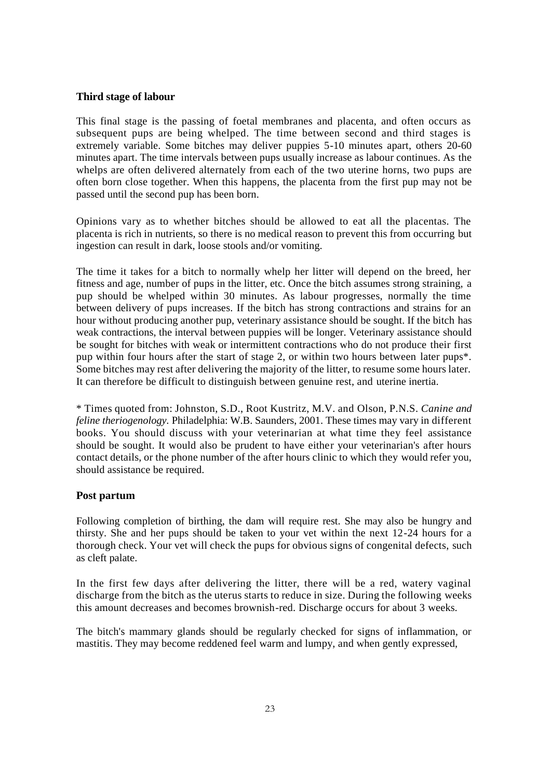#### **Third stage of labour**

This final stage is the passing of foetal membranes and placenta, and often occurs as subsequent pups are being whelped. The time between second and third stages is extremely variable. Some bitches may deliver puppies 5-10 minutes apart, others 20-60 minutes apart. The time intervals between pups usually increase as labour continues. As the whelps are often delivered alternately from each of the two uterine horns, two pups are often born close together. When this happens, the placenta from the first pup may not be passed until the second pup has been born.

Opinions vary as to whether bitches should be allowed to eat all the placentas. The placenta is rich in nutrients, so there is no medical reason to prevent this from occurring but ingestion can result in dark, loose stools and/or vomiting.

The time it takes for a bitch to normally whelp her litter will depend on the breed, her fitness and age, number of pups in the litter, etc. Once the bitch assumes strong straining, a pup should be whelped within 30 minutes. As labour progresses, normally the time between delivery of pups increases. If the bitch has strong contractions and strains for an hour without producing another pup, veterinary assistance should be sought. If the bitch has weak contractions, the interval between puppies will be longer. Veterinary assistance should be sought for bitches with weak or intermittent contractions who do not produce their first pup within four hours after the start of stage 2, or within two hours between later pups\*. Some bitches may rest after delivering the majority of the litter, to resume some hours later. It can therefore be difficult to distinguish between genuine rest, and uterine inertia.

\* Times quoted from: Johnston, S.D., Root Kustritz, M.V. and Olson, P.N.S. *Canine and feline theriogenology.* Philadelphia: W.B. Saunders, 2001. These times may vary in different books. You should discuss with your veterinarian at what time they feel assistance should be sought. It would also be prudent to have either your veterinarian's after hours contact details, or the phone number of the after hours clinic to which they would refer you, should assistance be required.

## **Post partum**

Following completion of birthing, the dam will require rest. She may also be hungry and thirsty. She and her pups should be taken to your vet within the next 12-24 hours for a thorough check. Your vet will check the pups for obvious signs of congenital defects, such as cleft palate.

In the first few days after delivering the litter, there will be a red, watery vaginal discharge from the bitch as the uterus starts to reduce in size. During the following weeks this amount decreases and becomes brownish-red. Discharge occurs for about 3 weeks.

The bitch's mammary glands should be regularly checked for signs of inflammation, or mastitis. They may become reddened feel warm and lumpy, and when gently expressed,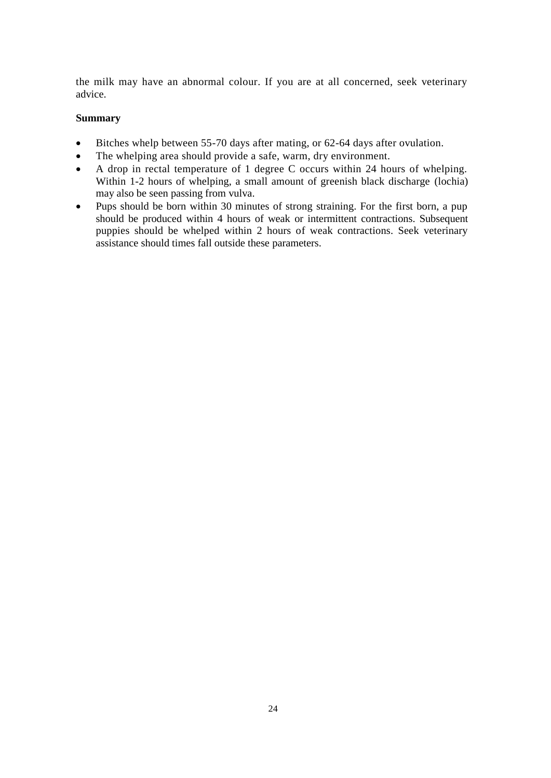the milk may have an abnormal colour. If you are at all concerned, seek veterinary advice.

## **Summary**

- Bitches whelp between 55-70 days after mating, or 62-64 days after ovulation.
- The whelping area should provide a safe, warm, dry environment.
- A drop in rectal temperature of 1 degree C occurs within 24 hours of whelping. Within 1-2 hours of whelping, a small amount of greenish black discharge (lochia) may also be seen passing from vulva.
- Pups should be born within 30 minutes of strong straining. For the first born, a pup should be produced within 4 hours of weak or intermittent contractions. Subsequent puppies should be whelped within 2 hours of weak contractions. Seek veterinary assistance should times fall outside these parameters.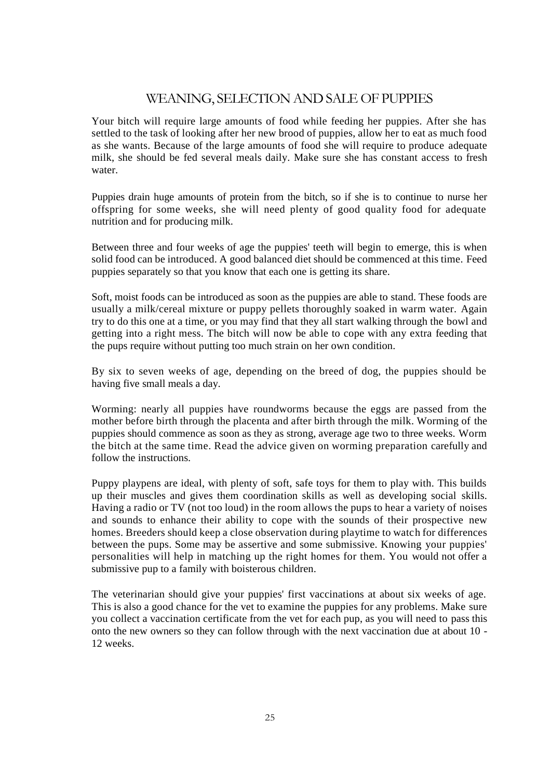## WEANING, SELECTION AND SALE OF PUPPIES

Your bitch will require large amounts of food while feeding her puppies. After she has settled to the task of looking after her new brood of puppies, allow her to eat as much food as she wants. Because of the large amounts of food she will require to produce adequate milk, she should be fed several meals daily. Make sure she has constant access to fresh water.

Puppies drain huge amounts of protein from the bitch, so if she is to continue to nurse her offspring for some weeks, she will need plenty of good quality food for adequate nutrition and for producing milk.

Between three and four weeks of age the puppies' teeth will begin to emerge, this is when solid food can be introduced. A good balanced diet should be commenced at this time. Feed puppies separately so that you know that each one is getting its share.

Soft, moist foods can be introduced as soon as the puppies are able to stand. These foods are usually a milk/cereal mixture or puppy pellets thoroughly soaked in warm water. Again try to do this one at a time, or you may find that they all start walking through the bowl and getting into a right mess. The bitch will now be able to cope with any extra feeding that the pups require without putting too much strain on her own condition.

By six to seven weeks of age, depending on the breed of dog, the puppies should be having five small meals a day.

Worming: nearly all puppies have roundworms because the eggs are passed from the mother before birth through the placenta and after birth through the milk. Worming of the puppies should commence as soon as they as strong, average age two to three weeks. Worm the bitch at the same time. Read the advice given on worming preparation carefully and follow the instructions.

Puppy playpens are ideal, with plenty of soft, safe toys for them to play with. This builds up their muscles and gives them coordination skills as well as developing social skills. Having a radio or TV (not too loud) in the room allows the pups to hear a variety of noises and sounds to enhance their ability to cope with the sounds of their prospective new homes. Breeders should keep a close observation during playtime to watch for differences between the pups. Some may be assertive and some submissive. Knowing your puppies' personalities will help in matching up the right homes for them. You would not offer a submissive pup to a family with boisterous children.

The veterinarian should give your puppies' first vaccinations at about six weeks of age. This is also a good chance for the vet to examine the puppies for any problems. Make sure you collect a vaccination certificate from the vet for each pup, as you will need to pass this onto the new owners so they can follow through with the next vaccination due at about 10 - 12 weeks.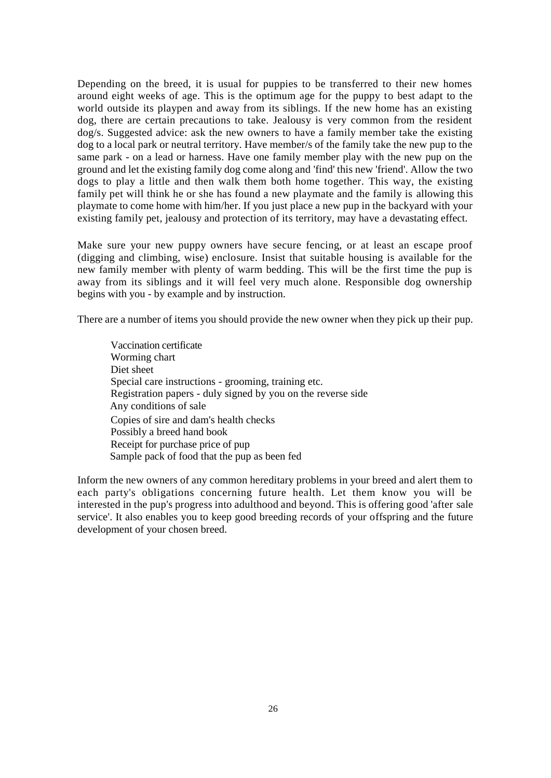Depending on the breed, it is usual for puppies to be transferred to their new homes around eight weeks of age. This is the optimum age for the puppy to best adapt to the world outside its playpen and away from its siblings. If the new home has an existing dog, there are certain precautions to take. Jealousy is very common from the resident dog/s. Suggested advice: ask the new owners to have a family member take the existing dog to a local park or neutral territory. Have member/s of the family take the new pup to the same park - on a lead or harness. Have one family member play with the new pup on the ground and let the existing family dog come along and 'find' this new 'friend'. Allow the two dogs to play a little and then walk them both home together. This way, the existing family pet will think he or she has found a new playmate and the family is allowing this playmate to come home with him/her. If you just place a new pup in the backyard with your existing family pet, jealousy and protection of its territory, may have a devastating effect.

Make sure your new puppy owners have secure fencing, or at least an escape proof (digging and climbing, wise) enclosure. Insist that suitable housing is available for the new family member with plenty of warm bedding. This will be the first time the pup is away from its siblings and it will feel very much alone. Responsible dog ownership begins with you - by example and by instruction.

There are a number of items you should provide the new owner when they pick up their pup.

Vaccination certificate Worming chart Diet sheet Special care instructions - grooming, training etc. Registration papers - duly signed by you on the reverse side Any conditions of sale Copies of sire and dam's health checks Possibly a breed hand book Receipt for purchase price of pup Sample pack of food that the pup as been fed

Inform the new owners of any common hereditary problems in your breed and alert them to each party's obligations concerning future health. Let them know you will be interested in the pup's progress into adulthood and beyond. This is offering good 'after sale service'. It also enables you to keep good breeding records of your offspring and the future development of your chosen breed.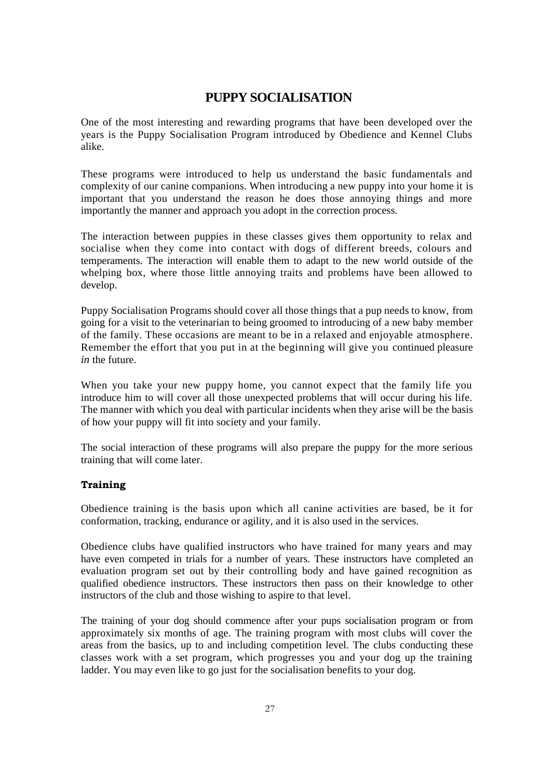## **PUPPY SOCIALISATION**

One of the most interesting and rewarding programs that have been developed over the years is the Puppy Socialisation Program introduced by Obedience and Kennel Clubs alike.

These programs were introduced to help us understand the basic fundamentals and complexity of our canine companions. When introducing a new puppy into your home it is important that you understand the reason he does those annoying things and more importantly the manner and approach you adopt in the correction process.

The interaction between puppies in these classes gives them opportunity to relax and socialise when they come into contact with dogs of different breeds, colours and temperaments. The interaction will enable them to adapt to the new world outside of the whelping box, where those little annoying traits and problems have been allowed to develop.

Puppy Socialisation Programs should cover all those things that a pup needs to know, from going for a visit to the veterinarian to being groomed to introducing of a new baby member of the family. These occasions are meant to be in a relaxed and enjoyable atmosphere. Remember the effort that you put in at the beginning will give you continued pleasure *in* the future.

When you take your new puppy home, you cannot expect that the family life you introduce him to will cover all those unexpected problems that will occur during his life. The manner with which you deal with particular incidents when they arise will be the basis of how your puppy will fit into society and your family.

The social interaction of these programs will also prepare the puppy for the more serious training that will come later.

## **Training**

Obedience training is the basis upon which all canine activities are based, be it for conformation, tracking, endurance or agility, and it is also used in the services.

Obedience clubs have qualified instructors who have trained for many years and may have even competed in trials for a number of years. These instructors have completed an evaluation program set out by their controlling body and have gained recognition as qualified obedience instructors. These instructors then pass on their knowledge to other instructors of the club and those wishing to aspire to that level.

The training of your dog should commence after your pups socialisation program or from approximately six months of age. The training program with most clubs will cover the areas from the basics, up to and including competition level. The clubs conducting these classes work with a set program, which progresses you and your dog up the training ladder. You may even like to go just for the socialisation benefits to your dog.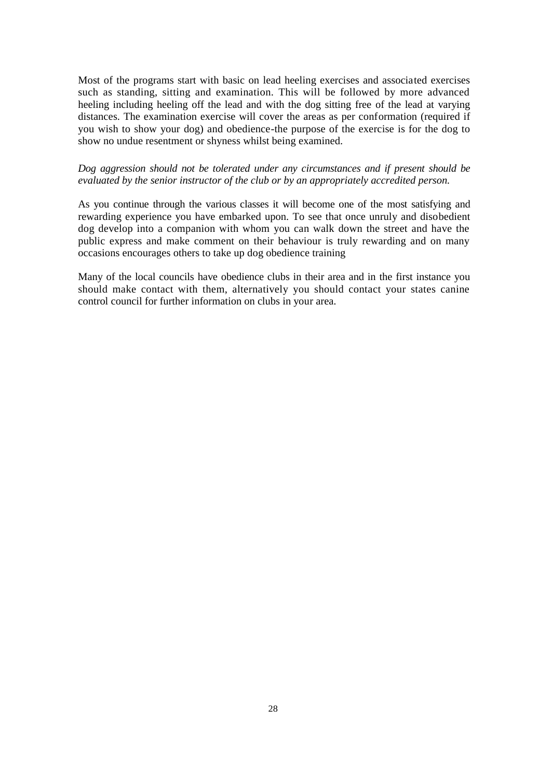Most of the programs start with basic on lead heeling exercises and associated exercises such as standing, sitting and examination. This will be followed by more advanced heeling including heeling off the lead and with the dog sitting free of the lead at varying distances. The examination exercise will cover the areas as per conformation (required if you wish to show your dog) and obedience-the purpose of the exercise is for the dog to show no undue resentment or shyness whilst being examined.

## *Dog aggression should not be tolerated under any circumstances and if present should be evaluated by the senior instructor of the club or by an appropriately accredited person.*

As you continue through the various classes it will become one of the most satisfying and rewarding experience you have embarked upon. To see that once unruly and disobedient dog develop into a companion with whom you can walk down the street and have the public express and make comment on their behaviour is truly rewarding and on many occasions encourages others to take up dog obedience training

Many of the local councils have obedience clubs in their area and in the first instance you should make contact with them, alternatively you should contact your states canine control council for further information on clubs in your area.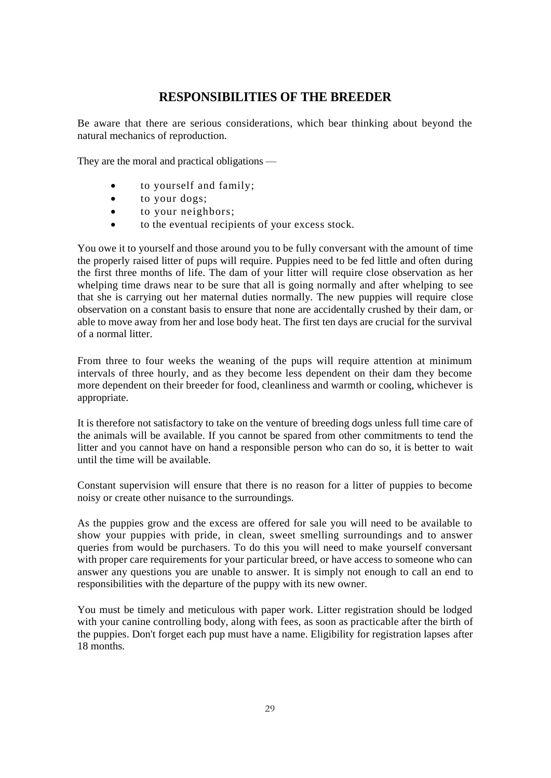## **RESPONSIBILITIES OF THE BREEDER**

Be aware that there are serious considerations, which bear thinking about beyond the natural mechanics of reproduction.

They are the moral and practical obligations —

- to yourself and family;
- to your dogs;
- to your neighbors;
- to the eventual recipients of your excess stock.

You owe it to yourself and those around you to be fully conversant with the amount of time the properly raised litter of pups will require. Puppies need to be fed little and often during the first three months of life. The dam of your litter will require close observation as her whelping time draws near to be sure that all is going normally and after whelping to see that she is carrying out her maternal duties normally. The new puppies will require close observation on a constant basis to ensure that none are accidentally crushed by their dam, or able to move away from her and lose body heat. The first ten days are crucial for the survival of a normal litter.

From three to four weeks the weaning of the pups will require attention at minimum intervals of three hourly, and as they become less dependent on their dam they become more dependent on their breeder for food, cleanliness and warmth or cooling, whichever is appropriate.

It is therefore not satisfactory to take on the venture of breeding dogs unless full time care of the animals will be available. If you cannot be spared from other commitments to tend the litter and you cannot have on hand a responsible person who can do so, it is better to wait until the time will be available.

Constant supervision will ensure that there is no reason for a litter of puppies to become noisy or create other nuisance to the surroundings.

As the puppies grow and the excess are offered for sale you will need to be available to show your puppies with pride, in clean, sweet smelling surroundings and to answer queries from would be purchasers. To do this you will need to make yourself conversant with proper care requirements for your particular breed, or have access to someone who can answer any questions you are unable to answer. It is simply not enough to call an end to responsibilities with the departure of the puppy with its new owner.

You must be timely and meticulous with paper work. Litter registration should be lodged with your canine controlling body, along with fees, as soon as practicable after the birth of the puppies. Don't forget each pup must have a name. Eligibility for registration lapses after 18 months.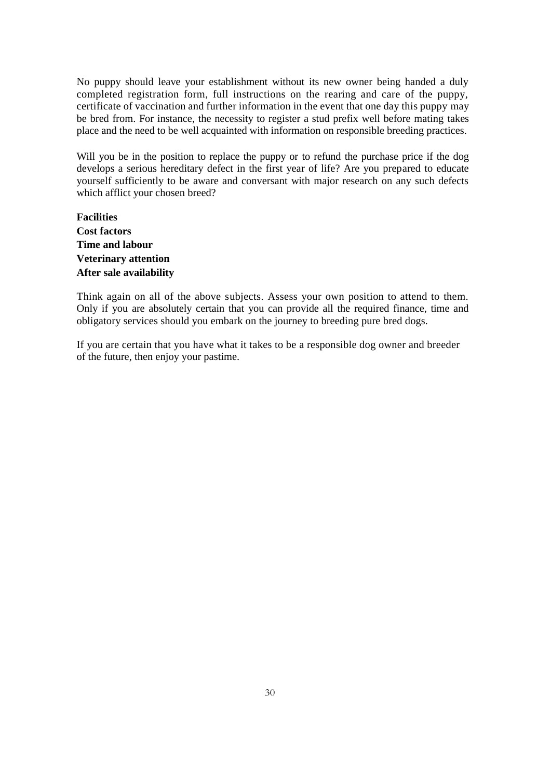No puppy should leave your establishment without its new owner being handed a duly completed registration form, full instructions on the rearing and care of the puppy, certificate of vaccination and further information in the event that one day this puppy may be bred from. For instance, the necessity to register a stud prefix well before mating takes place and the need to be well acquainted with information on responsible breeding practices.

Will you be in the position to replace the puppy or to refund the purchase price if the dog develops a serious hereditary defect in the first year of life? Are you prepared to educate yourself sufficiently to be aware and conversant with major research on any such defects which afflict your chosen breed?

**Facilities Cost factors Time and labour Veterinary attention After sale availability**

Think again on all of the above subjects. Assess your own position to attend to them. Only if you are absolutely certain that you can provide all the required finance, time and obligatory services should you embark on the journey to breeding pure bred dogs.

If you are certain that you have what it takes to be a responsible dog owner and breeder of the future, then enjoy your pastime.